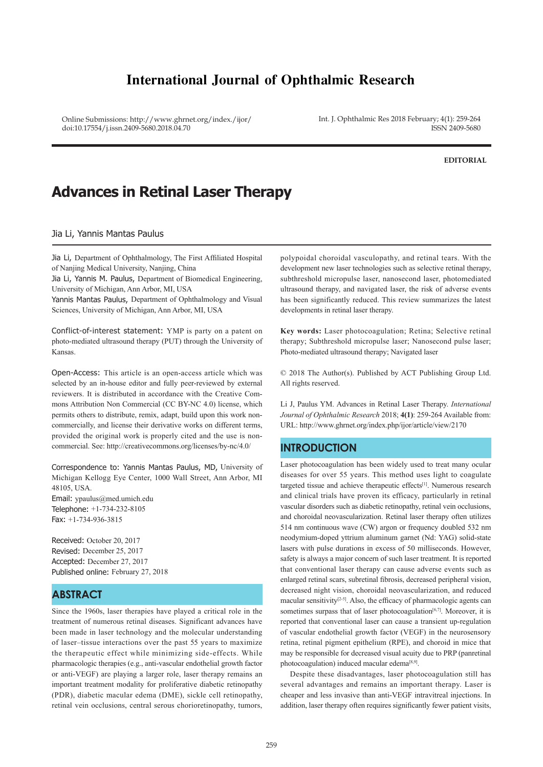# **International Journal of Ophthalmic Research**

Online Submissions: http://www.ghrnet.org/index./ijor/ doi:10.17554/j.issn.2409-5680.2018.04.70

Int. J. Ophthalmic Res 2018 February; 4(1): 259-264 ISSN 2409-5680

**EDITORIAL**

# **Advances in Retinal Laser Therapy**

Jia Li, Yannis Mantas Paulus

Jia Li, Department of Ophthalmology, The First Affiliated Hospital of Nanjing Medical University, Nanjing, China

Jia Li, Yannis M. Paulus, Department of Biomedical Engineering, University of Michigan, Ann Arbor, MI, USA

Yannis Mantas Paulus, Department of Ophthalmology and Visual Sciences, University of Michigan, Ann Arbor, MI, USA

Conflict-of-interest statement: YMP is party on a patent on photo-mediated ultrasound therapy (PUT) through the University of Kansas.

Open-Access: This article is an open-access article which was selected by an in-house editor and fully peer-reviewed by external reviewers. It is distributed in accordance with the Creative Commons Attribution Non Commercial (CC BY-NC 4.0) license, which permits others to distribute, remix, adapt, build upon this work noncommercially, and license their derivative works on different terms, provided the original work is properly cited and the use is noncommercial. See: http://creativecommons.org/licenses/by-nc/4.0/

Correspondence to: Yannis Mantas Paulus, MD, University of Michigan Kellogg Eye Center, 1000 Wall Street, Ann Arbor, MI 48105, USA. Email: ypaulus@med.umich.edu Telephone: +1-734-232-8105 Fax: +1-734-936-3815

Received: October 20, 2017 Revised: December 25, 2017 Accepted: December 27, 2017 Published online: February 27, 2018

# **ABSTRACT**

Since the 1960s, laser therapies have played a critical role in the treatment of numerous retinal diseases. Significant advances have been made in laser technology and the molecular understanding of laser–tissue interactions over the past 55 years to maximize the therapeutic effect while minimizing side-effects. While pharmacologic therapies (e.g., anti-vascular endothelial growth factor or anti-VEGF) are playing a larger role, laser therapy remains an important treatment modality for proliferative diabetic retinopathy (PDR), diabetic macular edema (DME), sickle cell retinopathy, retinal vein occlusions, central serous chorioretinopathy, tumors, polypoidal choroidal vasculopathy, and retinal tears. With the development new laser technologies such as selective retinal therapy, subthreshold micropulse laser, nanosecond laser, photomediated ultrasound therapy, and navigated laser, the risk of adverse events has been significantly reduced. This review summarizes the latest developments in retinal laser therapy.

**Key words:** Laser photocoagulation; Retina; Selective retinal therapy; Subthreshold micropulse laser; Nanosecond pulse laser; Photo-mediated ultrasound therapy; Navigated laser

© 2018 The Author(s). Published by ACT Publishing Group Ltd. All rights reserved.

Li J, Paulus YM. Advances in Retinal Laser Therapy. *International Journal of Ophthalmic Research* 2018; **4(1)**: 259-264 Available from: URL: http://www.ghrnet.org/index.php/ijor/article/view/2170

# **INTRODUCTION**

i<br>T

Laser photocoagulation has been widely used to treat many ocular diseases for over 55 years. This method uses light to coagulate targeted tissue and achieve therapeutic effects<sup>[1]</sup>. Numerous research and clinical trials have proven its efficacy, particularly in retinal vascular disorders such as diabetic retinopathy, retinal vein occlusions, and choroidal neovascularization. Retinal laser therapy often utilizes 514 nm continuous wave (CW) argon or frequency doubled 532 nm neodymium-doped yttrium aluminum garnet (Nd: YAG) solid-state lasers with pulse durations in excess of 50 milliseconds. However, safety is always a major concern of such laser treatment. It is reported that conventional laser therapy can cause adverse events such as enlarged retinal scars, subretinal fibrosis, decreased peripheral vision, decreased night vision, choroidal neovascularization, and reduced macular sensitivity $[2-5]$ . Also, the efficacy of pharmacologic agents can sometimes surpass that of laser photocoagulation<sup>[6,7]</sup>. Moreover, it is reported that conventional laser can cause a transient up-regulation of vascular endothelial growth factor (VEGF) in the neurosensory retina, retinal pigment epithelium (RPE), and choroid in mice that may be responsible for decreased visual acuity due to PRP (panretinal photocoagulation) induced macular edema<sup>[8,9]</sup>.

 Despite these disadvantages, laser photocoagulation still has several advantages and remains an important therapy. Laser is cheaper and less invasive than anti-VEGF intravitreal injections. In addition, laser therapy often requires significantly fewer patient visits,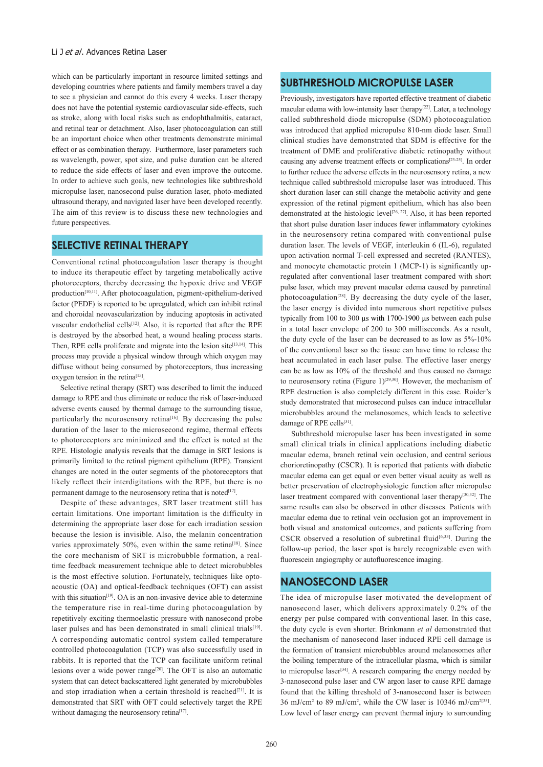which can be particularly important in resource limited settings and developing countries where patients and family members travel a day to see a physician and cannot do this every 4 weeks. Laser therapy does not have the potential systemic cardiovascular side-effects, such as stroke, along with local risks such as endophthalmitis, cataract, and retinal tear or detachment. Also, laser photocoagulation can still be an important choice when other treatments demonstrate minimal effect or as combination therapy. Furthermore, laser parameters such as wavelength, power, spot size, and pulse duration can be altered to reduce the side effects of laser and even improve the outcome. In order to achieve such goals, new technologies like subthreshold micropulse laser, nanosecond pulse duration laser, photo-mediated ultrasound therapy, and navigated laser have been developed recently. The aim of this review is to discuss these new technologies and future perspectives.

### **SELECTIVE RETINAL THERAPY**

Conventional retinal photocoagulation laser therapy is thought to induce its therapeutic effect by targeting metabolically active photoreceptors, thereby decreasing the hypoxic drive and VEGF production<sup>[10,11]</sup>. After photocoagulation, pigment-epithelium-derived factor (PEDF) is reported to be upregulated, which can inhibit retinal and choroidal neovascularization by inducing apoptosis in activated vascular endothelial cells<sup>[12]</sup>. Also, it is reported that after the RPE is destroyed by the absorbed heat, a wound healing process starts. Then, RPE cells proliferate and migrate into the lesion site $[13,14]$ . This process may provide a physical window through which oxygen may diffuse without being consumed by photoreceptors, thus increasing oxygen tension in the retina<sup>[15]</sup>.

 Selective retinal therapy (SRT) was described to limit the induced damage to RPE and thus eliminate or reduce the risk of laser-induced adverse events caused by thermal damage to the surrounding tissue, particularly the neurosensory retina<sup>[16]</sup>. By decreasing the pulse duration of the laser to the microsecond regime, thermal effects to photoreceptors are minimized and the effect is noted at the RPE. Histologic analysis reveals that the damage in SRT lesions is primarily limited to the retinal pigment epithelium (RPE). Transient changes are noted in the outer segments of the photoreceptors that likely reflect their interdigitations with the RPE, but there is no permanent damage to the neurosensory retina that is noted<sup>[17]</sup>.

 Despite of these advantages, SRT laser treatment still has certain limitations. One important limitation is the difficulty in determining the appropriate laser dose for each irradiation session because the lesion is invisible. Also, the melanin concentration varies approximately 50%, even within the same retina<sup>[18]</sup>. Since the core mechanism of SRT is microbubble formation, a realtime feedback measurement technique able to detect microbubbles is the most effective solution. Fortunately, techniques like optoacoustic (OA) and optical-feedback techniques (OFT) can assist with this situation<sup>[19]</sup>. OA is an non-invasive device able to determine the temperature rise in real-time during photocoagulation by repetitively exciting thermoelastic pressure with nanosecond probe laser pulses and has been demonstrated in small clinical trials<sup>[19]</sup>. A corresponding automatic control system called temperature controlled photocoagulation (TCP) was also successfully used in rabbits. It is reported that the TCP can facilitate uniform retinal lesions over a wide power range<sup>[20]</sup>. The OFT is also an automatic system that can detect backscattered light generated by microbubbles and stop irradiation when a certain threshold is reached<sup>[21]</sup>. It is demonstrated that SRT with OFT could selectively target the RPE without damaging the neurosensory retina<sup>[17]</sup>.

# **SUBTHRESHOLD MICROPULSE LASER**

Previously, investigators have reported effective treatment of diabetic macular edema with low-intensity laser therapy<sup>[22]</sup>. Later, a technology called subthreshold diode micropulse (SDM) photocoagulation was introduced that applied micropulse 810-nm diode laser. Small clinical studies have demonstrated that SDM is effective for the treatment of DME and proliferative diabetic retinopathy without causing any adverse treatment effects or complications[23-25]. In order to further reduce the adverse effects in the neurosensory retina, a new technique called subthreshold micropulse laser was introduced. This short duration laser can still change the metabolic activity and gene expression of the retinal pigment epithelium, which has also been demonstrated at the histologic level<sup>[26, 27]</sup>. Also, it has been reported that short pulse duration laser induces fewer inflammatory cytokines in the neurosensory retina compared with conventional pulse duration laser. The levels of VEGF, interleukin 6 (IL-6), regulated upon activation normal T-cell expressed and secreted (RANTES), and monocyte chemotactic protein 1 (MCP-1) is significantly upregulated after conventional laser treatment compared with short pulse laser, which may prevent macular edema caused by panretinal photocoagulation<sup>[28]</sup>. By decreasing the duty cycle of the laser, the laser energy is divided into numerous short repetitive pulses typically from 100 to 300 µs with 1700-1900 µs between each pulse in a total laser envelope of 200 to 300 milliseconds. As a result, the duty cycle of the laser can be decreased to as low as 5%-10% of the conventional laser so the tissue can have time to release the heat accumulated in each laser pulse. The effective laser energy can be as low as 10% of the threshold and thus caused no damage to neurosensory retina (Figure 1)<sup>[29,30]</sup>. However, the mechanism of RPE destruction is also completely different in this case. Roider's study demonstrated that microsecond pulses can induce intracellular microbubbles around the melanosomes, which leads to selective damage of RPE cells<sup>[31]</sup>.

 Subthreshold micropulse laser has been investigated in some small clinical trials in clinical applications including diabetic macular edema, branch retinal vein occlusion, and central serious chorioretinopathy (CSCR). It is reported that patients with diabetic macular edema can get equal or even better visual acuity as well as better preservation of electrophysiologic function after micropulse laser treatment compared with conventional laser therapy[30,32]. The same results can also be observed in other diseases. Patients with macular edema due to retinal vein occlusion got an improvement in both visual and anatomical outcomes, and patients suffering from CSCR observed a resolution of subretinal fluid<sup>[6,33]</sup>. During the follow-up period, the laser spot is barely recognizable even with fluorescein angiography or autofluorescence imaging.

# **NANOSECOND LASER**

The idea of micropulse laser motivated the development of nanosecond laser, which delivers approximately 0.2% of the energy per pulse compared with conventional laser. In this case, the duty cycle is even shorter. Brinkmann *et al* demonstrated that the mechanism of nanosecond laser induced RPE cell damage is the formation of transient microbubbles around melanosomes after the boiling temperature of the intracellular plasma, which is similar to micropulse laser<sup>[34]</sup>. A research comparing the energy needed by 3-nanosecond pulse laser and CW argon laser to cause RPE damage found that the killing threshold of 3-nanosecond laser is between 36 mJ/cm2 to 89 mJ/cm2 , while the CW laser is 10346 mJ/cm2[35]. Low level of laser energy can prevent thermal injury to surrounding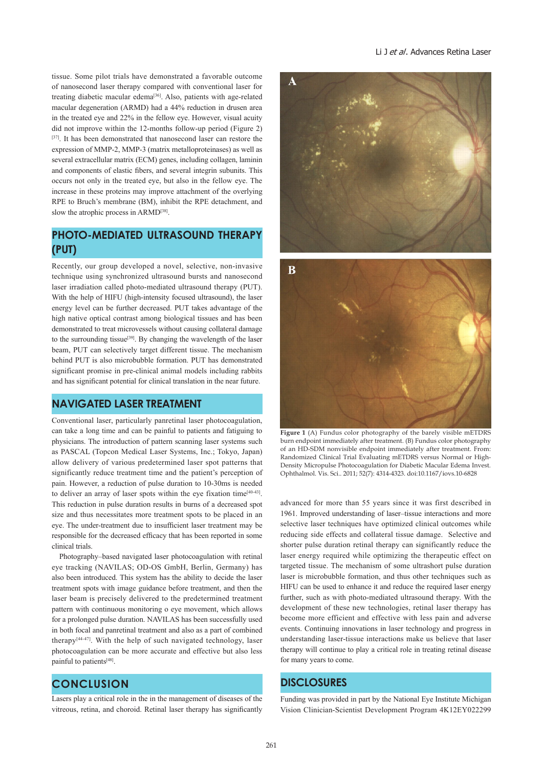tissue. Some pilot trials have demonstrated a favorable outcome of nanosecond laser therapy compared with conventional laser for treating diabetic macular edema[36]. Also, patients with age-related macular degeneration (ARMD) had a 44% reduction in drusen area in the treated eye and 22% in the fellow eye. However, visual acuity did not improve within the 12-months follow-up period (Figure 2) [37]. It has been demonstrated that nanosecond laser can restore the expression of MMP-2, MMP-3 (matrix metalloproteinases) as well as several extracellular matrix (ECM) genes, including collagen, laminin and components of elastic fibers, and several integrin subunits. This occurs not only in the treated eye, but also in the fellow eye. The increase in these proteins may improve attachment of the overlying RPE to Bruch's membrane (BM), inhibit the RPE detachment, and slow the atrophic process in ARMD<sup>[38]</sup>.

# **PHOTO-MEDIATED ULTRASOUND THERAPY (PUT)**

Recently, our group developed a novel, selective, non-invasive technique using synchronized ultrasound bursts and nanosecond laser irradiation called photo-mediated ultrasound therapy (PUT). With the help of HIFU (high-intensity focused ultrasound), the laser energy level can be further decreased. PUT takes advantage of the high native optical contrast among biological tissues and has been demonstrated to treat microvessels without causing collateral damage to the surrounding tissue<sup>[39]</sup>. By changing the wavelength of the laser beam, PUT can selectively target different tissue. The mechanism behind PUT is also microbubble formation. PUT has demonstrated significant promise in pre-clinical animal models including rabbits and has significant potential for clinical translation in the near future.

#### **NAVIGATED LASER TREATMENT**

Conventional laser, particularly panretinal laser photocoagulation, can take a long time and can be painful to patients and fatiguing to physicians. The introduction of pattern scanning laser systems such as PASCAL (Topcon Medical Laser Systems, Inc.; Tokyo, Japan) allow delivery of various predetermined laser spot patterns that significantly reduce treatment time and the patient's perception of pain. However, a reduction of pulse duration to 10-30ms is needed to deliver an array of laser spots within the eye fixation time[40-43]. This reduction in pulse duration results in burns of a decreased spot size and thus necessitates more treatment spots to be placed in an eye. The under-treatment due to insufficient laser treatment may be responsible for the decreased efficacy that has been reported in some clinical trials.

 Photography–based navigated laser photocoagulation with retinal eye tracking (NAVILAS; OD-OS GmbH, Berlin, Germany) has also been introduced. This system has the ability to decide the laser treatment spots with image guidance before treatment, and then the laser beam is precisely delivered to the predetermined treatment pattern with continuous monitoring o eye movement, which allows for a prolonged pulse duration. NAVILAS has been successfully used in both focal and panretinal treatment and also as a part of combined therapy[44-47]. With the help of such navigated technology, laser photocoagulation can be more accurate and effective but also less painful to patients<sup>[48]</sup>.

# **CONCLUSION**

l

Lasers play a critical role in the in the management of diseases of the vitreous, retina, and choroid. Retinal laser therapy has significantly





**Figure 1** (A) Fundus color photography of the barely visible mETDRS burn endpoint immediately after treatment. (B) Fundus color photography of an HD-SDM nonvisible endpoint immediately after treatment. From: Randomized Clinical Trial Evaluating mETDRS versus Normal or High-Density Micropulse Photocoagulation for Diabetic Macular Edema Invest. Ophthalmol. Vis. Sci.. 2011; 52(7): 4314-4323. doi:10.1167/iovs.10-6828

advanced for more than 55 years since it was first described in 1961. Improved understanding of laser–tissue interactions and more selective laser techniques have optimized clinical outcomes while reducing side effects and collateral tissue damage. Selective and shorter pulse duration retinal therapy can significantly reduce the laser energy required while optimizing the therapeutic effect on targeted tissue. The mechanism of some ultrashort pulse duration laser is microbubble formation, and thus other techniques such as HIFU can be used to enhance it and reduce the required laser energy further, such as with photo-mediated ultrasound therapy. With the development of these new technologies, retinal laser therapy has become more efficient and effective with less pain and adverse events. Continuing innovations in laser technology and progress in understanding laser-tissue interactions make us believe that laser therapy will continue to play a critical role in treating retinal disease for many years to come.

## **DISCLOSURES**

Funding was provided in part by the National Eye Institute Michigan Vision Clinician-Scientist Development Program 4K12EY022299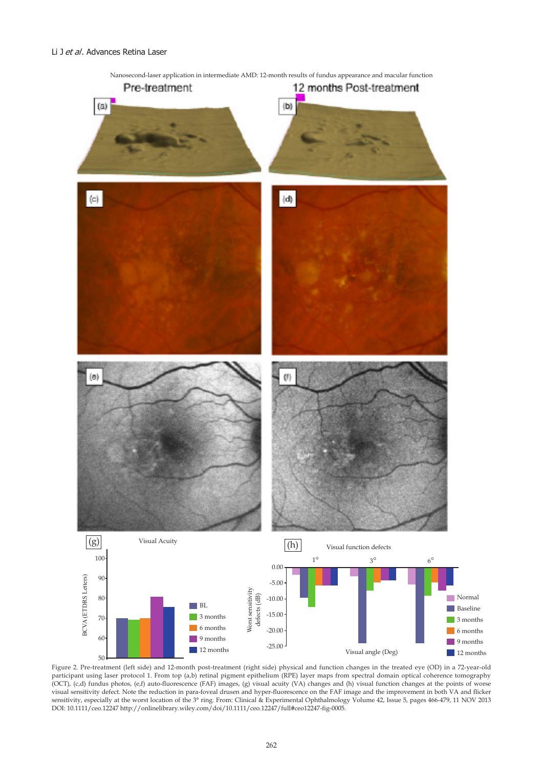

Figure 2. Pre-treatment (left side) and 12-month post-treatment (right side) physical and function changes in the treated eye (OD) in a 72-year-old participant using laser protocol 1. From top (a,b) retinal pigment epithelium (RPE) layer maps from spectral domain optical coherence tomography (OCT), (c,d) fundus photos, (e,f) auto-fluorescence (FAF) images, (g) visual acuity (VA) changes and (h) visual function changes at the points of worse visual sensitivity defect. Note the reduction in para-foveal drusen and hyper-fluorescence on the FAF image and the improvement in both VA and flicker sensitivity, especially at the worst location of the 3° ring. From: Clinical & Experimental Ophthalmology Volume 42, Issue 5, pages 466-479, 11 NOV 2013 DOI: 10.1111/ceo.12247 http://onlinelibrary.wiley.com/doi/10.1111/ceo.12247/full#ceo12247-fig-0005.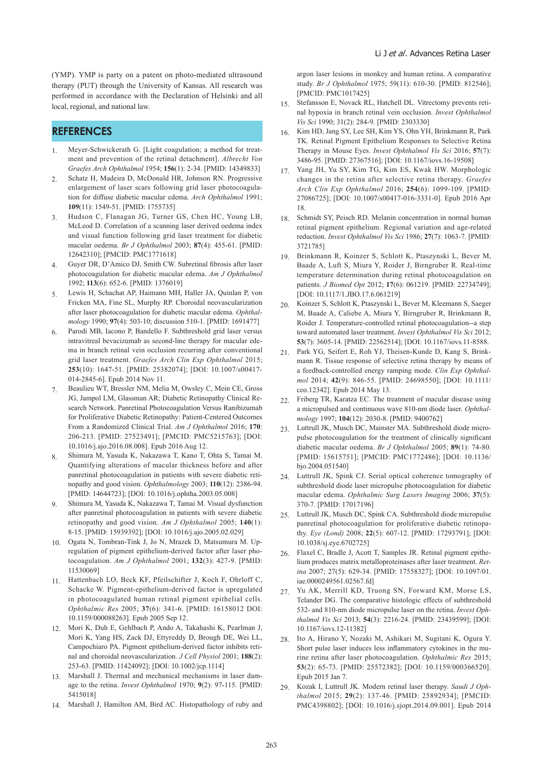(YMP). YMP is party on a patent on photo-mediated ultrasound therapy (PUT) through the University of Kansas. All research was performed in accordance with the Declaration of Helsinki and all local, regional, and national law.

# **REFERENCES**

- 1. Meyer-Schwickerath G. [Light coagulation; a method for treatment and prevention of the retinal detachment]. *Albrecht Von Graefes Arch Ophthalmol* 1954; **156**(1): 2-34. [PMID: 14349833]
- 2. Schatz H, Madeira D, McDonald HR, Johnson RN. Progressive enlargement of laser scars following grid laser photocoagulation for diffuse diabetic macular edema. *Arch Ophthalmol* 1991; **109**(11): 1549-51. [PMID: 1755735]
- 3. Hudson C, Flanagan JG, Turner GS, Chen HC, Young LB, McLeod D. Correlation of a scanning laser derived oedema index and visual function following grid laser treatment for diabetic macular oedema. *Br J Ophthalmol* 2003; **87**(4): 455-61. [PMID: 12642310]; [PMCID: PMC1771618]
- 4. Guyer DR, D'Amico DJ, Smith CW. Subretinal fibrosis after laser photocoagulation for diabetic macular edema. *Am J Ophthalmol* 1992; **113**(6): 652-6. [PMID: 1376019]
- 5. Lewis H, Schachat AP, Haimann MH, Haller JA, Quinlan P, von Fricken MA, Fine SL, Murphy RP. Choroidal neovascularization after laser photocoagulation for diabetic macular edema. *Ophthalmology* 1990; **97**(4): 503-10; discussion 510-1. [PMID: 1691477]
- Parodi MB, Iacono P, Bandello F. Subthreshold grid laser versus intravitreal bevacizumab as second-line therapy for macular edema in branch retinal vein occlusion recurring after conventional grid laser treatment. *Graefes Arch Clin Exp Ophthalmol* 2015; **253**(10): 1647-51. [PMID: 25382074]; [DOI: 10.1007/s00417- 014-2845-6]. Epub 2014 Nov 11.
- 7. Beaulieu WT, Bressler NM, Melia M, Owsley C, Mein CE, Gross JG, Jampol LM, Glassman AR; Diabetic Retinopathy Clinical Research Network. Panretinal Photocoagulation Versus Ranibizumab for Proliferative Diabetic Retinopathy: Patient-Centered Outcomes From a Randomized Clinical Trial. *Am J Ophthalmol* 2016; **170**: 206-213. [PMID: 27523491]; [PMCID: PMC5215763]; [DOI: 10.1016/j.ajo.2016.08.008]. Epub 2016 Aug 12.
- 8. Shimura M, Yasuda K, Nakazawa T, Kano T, Ohta S, Tamai M. Quantifying alterations of macular thickness before and after panretinal photocoagulation in patients with severe diabetic retinopathy and good vision. *Ophthalmology* 2003; **110**(12): 2386-94. [PMID: 14644723]; [DOI: 10.1016/j.ophtha.2003.05.008]
- 9. Shimura M, Yasuda K, Nakazawa T, Tamai M. Visual dysfunction after panretinal photocoagulation in patients with severe diabetic retinopathy and good vision. *Am J Ophthalmol* 2005; **140**(1): 8-15. [PMID: 15939392]; [DOI: 10.1016/j.ajo.2005.02.029]
- 10. Ogata N, Tombran-Tink J, Jo N, Mrazek D, Matsumura M. Upregulation of pigment epithelium-derived factor after laser photocoagulation. *Am J Ophthalmol* 2001; **132**(3): 427-9. [PMID: 11530069]
- 11. Hattenbach LO, Beck KF, Pfeilschifter J, Koch F, Ohrloff C, Schacke W. Pigment-epithelium-derived factor is upregulated in photocoagulated human retinal pigment epithelial cells. *Ophthalmic Res* 2005; **37**(6): 341-6. [PMID: 16158012 DOI: 10.1159/000088263]. Epub 2005 Sep 12.
- 12. Mori K, Duh E, Gehlbach P, Ando A, Takahashi K, Pearlman J, Mori K, Yang HS, Zack DJ, Ettyreddy D, Brough DE, Wei LL, Campochiaro PA. Pigment epithelium-derived factor inhibits retinal and choroidal neovascularization. *J Cell Physiol* 2001; **188**(2): 253-63. [PMID: 11424092]; [DOI: 10.1002/jcp.1114]
- 13. Marshall J. Thermal and mechanical mechanisms in laser damage to the retina. *Invest Ophthalmol* 1970; **9**(2): 97-115. [PMID: 5415018]
- 14. Marshall J, Hamilton AM, Bird AC. Histopathology of ruby and

argon laser lesions in monkey and human retina. A comparative study. *Br J Ophthalmol* 1975; 59(11): 610-30. [PMID: 812546]; [PMCID: PMC1017425]

- 15. Stefansson E, Novack RL, Hatchell DL. Vitrectomy prevents retinal hypoxia in branch retinal vein occlusion. *Invest Ophthalmol Vis Sci* 1990; 31(2): 284-9. [PMID: 2303330]
- 16. Kim HD, Jang SY, Lee SH, Kim YS, Ohn YH, Brinkmann R, Park TK. Retinal Pigment Epithelium Responses to Selective Retina Therapy in Mouse Eyes. *Invest Ophthalmol Vis Sci* 2016; **57**(7): 3486-95. [PMID: 27367516]; [DOI: 10.1167/iovs.16-19508]
- 17. Yang JH, Yu SY, Kim TG, Kim ES, Kwak HW. Morphologic changes in the retina after selective retina therapy. *Graefes Arch Clin Exp Ophthalmol* 2016; **254**(6): 1099-109. [PMID: 27086725]; [DOI: 10.1007/s00417-016-3331-0]. Epub 2016 Apr 18.
- 18. Schmidt SY, Peisch RD. Melanin concentration in normal human retinal pigment epithelium. Regional variation and age-related reduction. *Invest Ophthalmol Vis Sci* 1986; **27**(7): 1063-7. [PMID: 3721785]
- 19. Brinkmann R, Koinzer S, Schlott K, Ptaszynski L, Bever M, Baade A, Luft S, Miura Y, Roider J, Birngruber R. Real-time temperature determination during retinal photocoagulation on patients. *J Biomed Opt* 2012; **17**(6): 061219. [PMID: 22734749]; [DOI: 10.1117/1.JBO.17.6.061219]
- 20. Koinzer S, Schlott K, Ptaszynski L, Bever M, Kleemann S, Saeger M, Baade A, Caliebe A, Miura Y, Birngruber R, Brinkmann R, Roider J. Temperature-controlled retinal photocoagulation--a step toward automated laser treatment. *Invest Ophthalmol Vis Sci* 2012; **53**(7): 3605-14. [PMID: 22562514]; [DOI: 10.1167/iovs.11-8588.
- 21. Park YG, Seifert E, Roh YJ, Theisen-Kunde D, Kang S, Brinkmann R. Tissue response of selective retina therapy by means of a feedback-controlled energy ramping mode. *Clin Exp Ophthalmol* 2014; **42**(9): 846-55. [PMID: 24698550]; [DOI: 10.1111/ ceo.12342]. Epub 2014 May 13.
- 22. Friberg TR, Karatza EC. The treatment of macular disease using a micropulsed and continuous wave 810-nm diode laser. *Ophthalmology* 1997; **104**(12): 2030-8. [PMID: 9400762]
- 23. Luttrull JK, Musch DC, Mainster MA. Subthreshold diode micropulse photocoagulation for the treatment of clinically significant diabetic macular oedema. *Br J Ophthalmol* 2005; **89**(1): 74-80. [PMID: 15615751]; [PMCID: PMC1772486]; [DOI: 10.1136/ bjo.2004.051540]
- 24. Luttrull JK, Spink CJ. Serial optical coherence tomography of subthreshold diode laser micropulse photocoagulation for diabetic macular edema. *Ophthalmic Surg Lasers Imaging* 2006; **37**(5): 370-7. [PMID: 17017196]
- 25. Luttrull JK, Musch DC, Spink CA. Subthreshold diode micropulse panretinal photocoagulation for proliferative diabetic retinopathy. *Eye (Lond)* 2008; **22**(5): 607-12. [PMID: 17293791]; [DOI: 10.1038/sj.eye.6702725]
- 26. Flaxel C, Bradle J, Acott T, Samples JR. Retinal pigment epithelium produces matrix metalloproteinases after laser treatment. *Retina* 2007; 27(5): 629-34. [PMID: 17558327]; [DOI: 10.1097/01. iae.0000249561.02567.fd]
- 27. Yu AK, Merrill KD, Truong SN, Forward KM, Morse LS, Telander DG. The comparative histologic effects of subthreshold 532- and 810-nm diode micropulse laser on the retina. *Invest Ophthalmol Vis Sci* 2013; **54**(3): 2216-24. [PMID: 23439599]; [DOI: 10.1167/iovs.12-11382]
- 28. Ito A, Hirano Y, Nozaki M, Ashikari M, Sugitani K, Ogura Y. Short pulse laser induces less inflammatory cytokines in the murine retina after laser photocoagulation. *Ophthalmic Res* 2015; **53**(2): 65-73. [PMID: 25572382]; [DOI: 10.1159/000366520]. Epub 2015 Jan 7.
- 29. Kozak I, Luttrull JK. Modern retinal laser therapy. *Saudi J Ophthalmol* 2015; **29**(2): 137-46. [PMID: 25892934]; [PMCID: PMC4398802]; [DOI: 10.1016/j.sjopt.2014.09.001]. Epub 2014